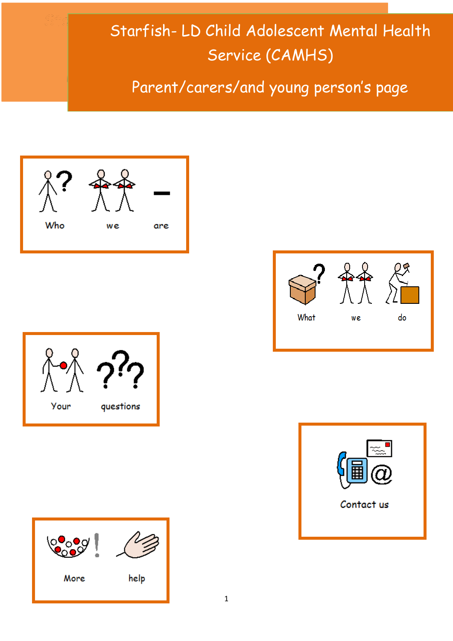# Starfish- LD Child Adolescent Mental Health Service (CAMHS)

Parent/carers/and young person's page









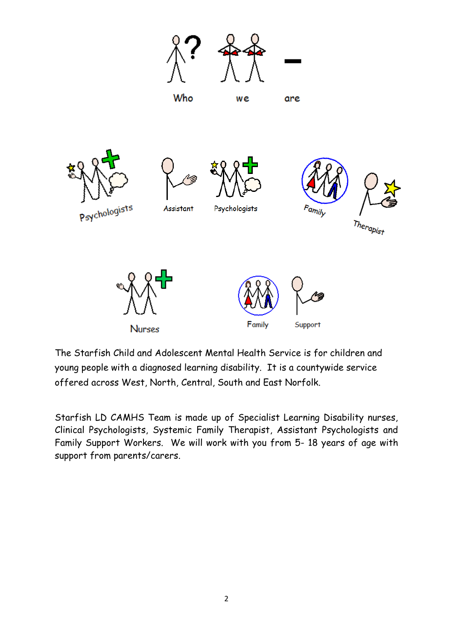

The Starfish Child and Adolescent Mental Health Service is for children and young people with a diagnosed learning disability. It is a countywide service offered across West, North, Central, South and East Norfolk.

Starfish LD CAMHS Team is made up of Specialist Learning Disability nurses, Clinical Psychologists, Systemic Family Therapist, Assistant Psychologists and Family Support Workers. We will work with you from 5- 18 years of age with support from parents/carers.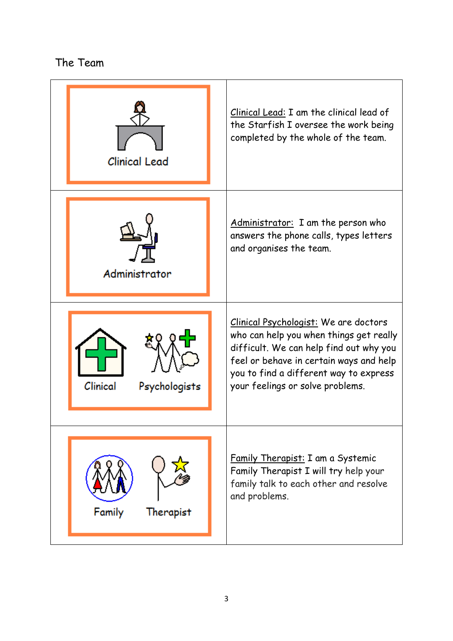```
The Team
```
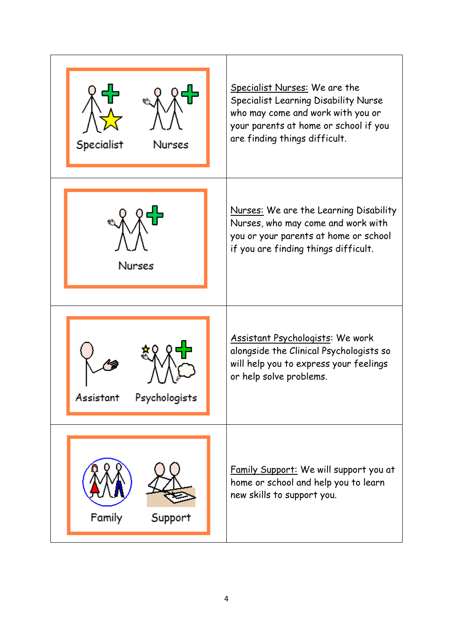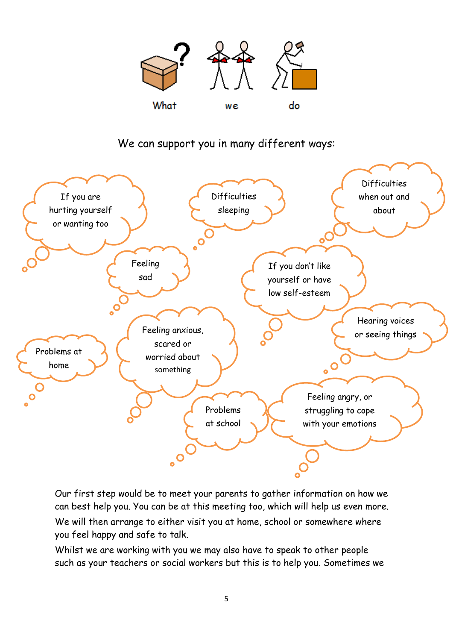

# We can support you in many different ways:



Our first step would be to meet your parents to gather information on how we can best help you. You can be at this meeting too, which will help us even more.

We will then arrange to either visit you at home, school or somewhere where you feel happy and safe to talk.

Whilst we are working with you we may also have to speak to other people such as your teachers or social workers but this is to help you. Sometimes we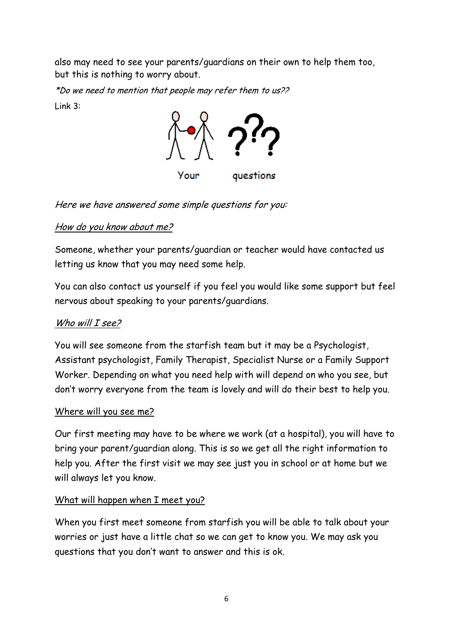also may need to see your parents/guardians on their own to help them too, but this is nothing to worry about.

\*Do we need to mention that people may refer them to us?? Link 3:



Here we have answered some simple questions for you:

# How do you know about me?

Someone, whether your parents/guardian or teacher would have contacted us letting us know that you may need some help.

You can also contact us yourself if you feel you would like some support but feel nervous about speaking to your parents/guardians.

# Who will I see?

You will see someone from the starfish team but it may be a Psychologist, Assistant psychologist, Family Therapist, Specialist Nurse or a Family Support Worker. Depending on what you need help with will depend on who you see, but don't worry everyone from the team is lovely and will do their best to help you.

## Where will you see me?

Our first meeting may have to be where we work (at a hospital), you will have to bring your parent/guardian along. This is so we get all the right information to help you. After the first visit we may see just you in school or at home but we will always let you know.

## What will happen when I meet you?

When you first meet someone from starfish you will be able to talk about your worries or just have a little chat so we can get to know you. We may ask you questions that you don't want to answer and this is ok.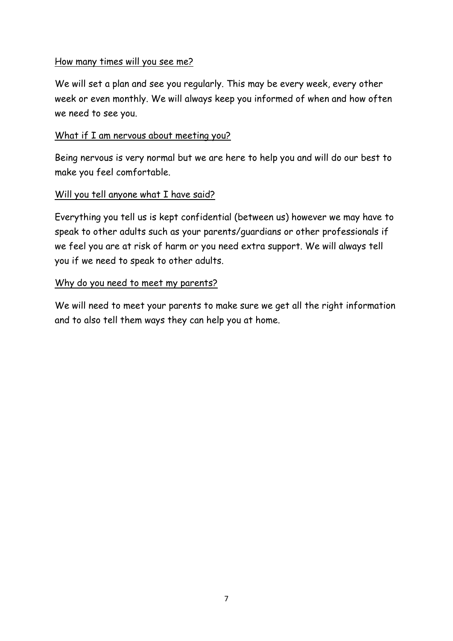#### How many times will you see me?

We will set a plan and see you regularly. This may be every week, every other week or even monthly. We will always keep you informed of when and how often we need to see you.

#### What if I am nervous about meeting you?

Being nervous is very normal but we are here to help you and will do our best to make you feel comfortable.

#### Will you tell anyone what I have said?

Everything you tell us is kept confidential (between us) however we may have to speak to other adults such as your parents/guardians or other professionals if we feel you are at risk of harm or you need extra support. We will always tell you if we need to speak to other adults.

#### Why do you need to meet my parents?

We will need to meet your parents to make sure we get all the right information and to also tell them ways they can help you at home.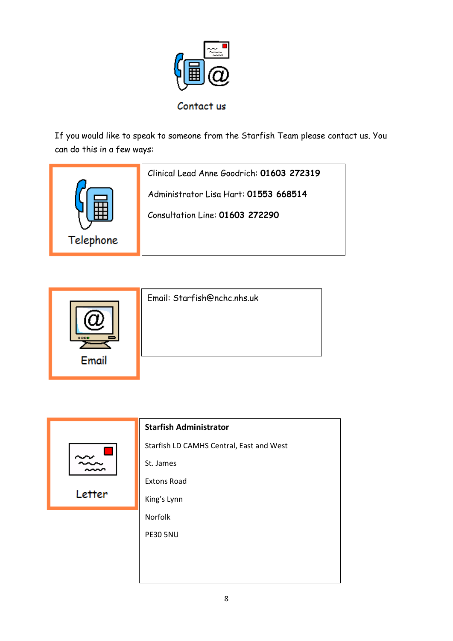

If you would like to speak to someone from the Starfish Team please contact us. You can do this in a few ways:

|           | Clinical Lead Anne Goodrich: 01603 272319 |
|-----------|-------------------------------------------|
|           | Administrator Lisa Hart: 01553 668514     |
|           | Consultation Line: 01603 272290           |
| Telephone |                                           |